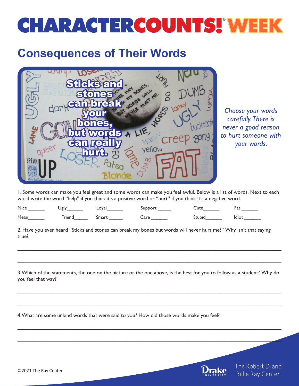## **CHARACTERCOUNTS! WEEK**

## **Consequences of Their Words**



*Choose your words carefully. There is never a good reason to hurt someone with your words.* 

1. Some words can make you feel great and some words can make you feel awful. Below is a list of words. Next to each word write the word "help" if you think it's a positive word or "hurt" if you think it's a negative word.

| Nice | Jølv   | Loyal | SUDDOL' | 115c   | -a. |
|------|--------|-------|---------|--------|-----|
| Mean | Friend | smart | 2r      | Stupid |     |

2. Have you ever heard "Sticks and stones can break my bones but words will never hurt me?" Why isn't that saying true?

3. Which of the statements, the one on the picture or the one above, is the best for you to follow as a student? Why do you feel that way?

 $\mathcal{L}_\mathcal{L} = \mathcal{L}_\mathcal{L} = \mathcal{L}_\mathcal{L} = \mathcal{L}_\mathcal{L} = \mathcal{L}_\mathcal{L} = \mathcal{L}_\mathcal{L} = \mathcal{L}_\mathcal{L} = \mathcal{L}_\mathcal{L} = \mathcal{L}_\mathcal{L} = \mathcal{L}_\mathcal{L} = \mathcal{L}_\mathcal{L} = \mathcal{L}_\mathcal{L} = \mathcal{L}_\mathcal{L} = \mathcal{L}_\mathcal{L} = \mathcal{L}_\mathcal{L} = \mathcal{L}_\mathcal{L} = \mathcal{L}_\mathcal{L}$ 

 $\mathcal{L}_\mathcal{L} = \mathcal{L}_\mathcal{L} = \mathcal{L}_\mathcal{L} = \mathcal{L}_\mathcal{L} = \mathcal{L}_\mathcal{L} = \mathcal{L}_\mathcal{L} = \mathcal{L}_\mathcal{L} = \mathcal{L}_\mathcal{L} = \mathcal{L}_\mathcal{L} = \mathcal{L}_\mathcal{L} = \mathcal{L}_\mathcal{L} = \mathcal{L}_\mathcal{L} = \mathcal{L}_\mathcal{L} = \mathcal{L}_\mathcal{L} = \mathcal{L}_\mathcal{L} = \mathcal{L}_\mathcal{L} = \mathcal{L}_\mathcal{L}$ 

 $\mathcal{L}_\mathcal{L} = \mathcal{L}_\mathcal{L} = \mathcal{L}_\mathcal{L} = \mathcal{L}_\mathcal{L} = \mathcal{L}_\mathcal{L} = \mathcal{L}_\mathcal{L} = \mathcal{L}_\mathcal{L} = \mathcal{L}_\mathcal{L} = \mathcal{L}_\mathcal{L} = \mathcal{L}_\mathcal{L} = \mathcal{L}_\mathcal{L} = \mathcal{L}_\mathcal{L} = \mathcal{L}_\mathcal{L} = \mathcal{L}_\mathcal{L} = \mathcal{L}_\mathcal{L} = \mathcal{L}_\mathcal{L} = \mathcal{L}_\mathcal{L}$ 

 $\mathcal{L}_\mathcal{L} = \mathcal{L}_\mathcal{L} = \mathcal{L}_\mathcal{L} = \mathcal{L}_\mathcal{L} = \mathcal{L}_\mathcal{L} = \mathcal{L}_\mathcal{L} = \mathcal{L}_\mathcal{L} = \mathcal{L}_\mathcal{L} = \mathcal{L}_\mathcal{L} = \mathcal{L}_\mathcal{L} = \mathcal{L}_\mathcal{L} = \mathcal{L}_\mathcal{L} = \mathcal{L}_\mathcal{L} = \mathcal{L}_\mathcal{L} = \mathcal{L}_\mathcal{L} = \mathcal{L}_\mathcal{L} = \mathcal{L}_\mathcal{L}$ 

 $\mathcal{L}_\mathcal{L} = \mathcal{L}_\mathcal{L} = \mathcal{L}_\mathcal{L} = \mathcal{L}_\mathcal{L} = \mathcal{L}_\mathcal{L} = \mathcal{L}_\mathcal{L} = \mathcal{L}_\mathcal{L} = \mathcal{L}_\mathcal{L} = \mathcal{L}_\mathcal{L} = \mathcal{L}_\mathcal{L} = \mathcal{L}_\mathcal{L} = \mathcal{L}_\mathcal{L} = \mathcal{L}_\mathcal{L} = \mathcal{L}_\mathcal{L} = \mathcal{L}_\mathcal{L} = \mathcal{L}_\mathcal{L} = \mathcal{L}_\mathcal{L}$ 

 $\mathcal{L}_\mathcal{L} = \mathcal{L}_\mathcal{L} = \mathcal{L}_\mathcal{L} = \mathcal{L}_\mathcal{L} = \mathcal{L}_\mathcal{L} = \mathcal{L}_\mathcal{L} = \mathcal{L}_\mathcal{L} = \mathcal{L}_\mathcal{L} = \mathcal{L}_\mathcal{L} = \mathcal{L}_\mathcal{L} = \mathcal{L}_\mathcal{L} = \mathcal{L}_\mathcal{L} = \mathcal{L}_\mathcal{L} = \mathcal{L}_\mathcal{L} = \mathcal{L}_\mathcal{L} = \mathcal{L}_\mathcal{L} = \mathcal{L}_\mathcal{L}$ 

4. What are some unkind words that were said to you? How did those words make you feel?